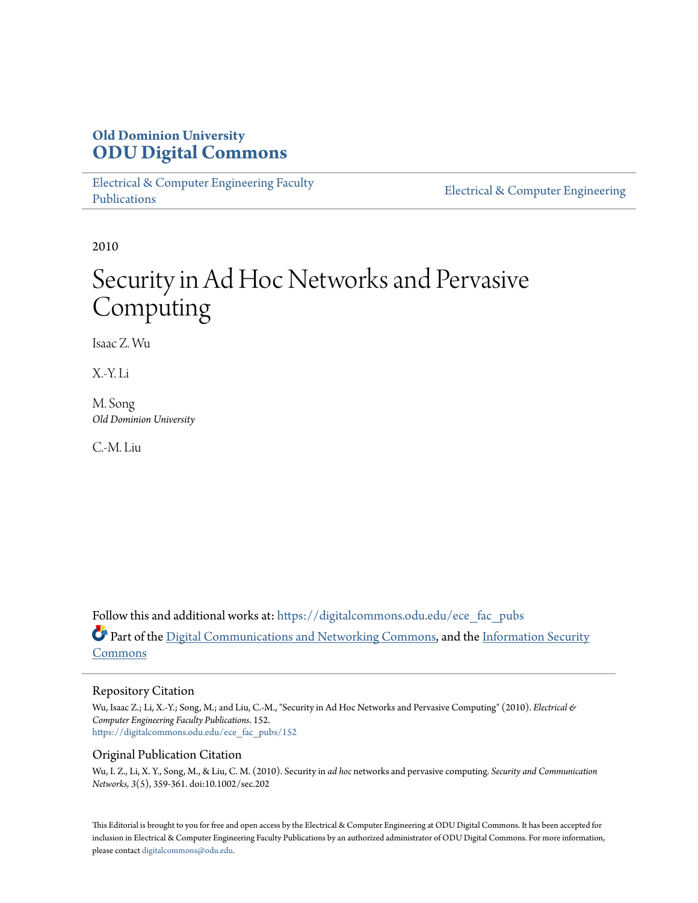### **Old Dominion University [ODU Digital Commons](https://digitalcommons.odu.edu?utm_source=digitalcommons.odu.edu%2Fece_fac_pubs%2F152&utm_medium=PDF&utm_campaign=PDFCoverPages)**

[Electrical & Computer Engineering Faculty](https://digitalcommons.odu.edu/ece_fac_pubs?utm_source=digitalcommons.odu.edu%2Fece_fac_pubs%2F152&utm_medium=PDF&utm_campaign=PDFCoverPages) [Publications](https://digitalcommons.odu.edu/ece_fac_pubs?utm_source=digitalcommons.odu.edu%2Fece_fac_pubs%2F152&utm_medium=PDF&utm_campaign=PDFCoverPages)

[Electrical & Computer Engineering](https://digitalcommons.odu.edu/ece?utm_source=digitalcommons.odu.edu%2Fece_fac_pubs%2F152&utm_medium=PDF&utm_campaign=PDFCoverPages)

2010

# Security in Ad Hoc Networks and Pervasive Computing

Isaac Z. Wu

X.-Y. Li

M. Song *Old Dominion University*

C.-M. Liu

Follow this and additional works at: [https://digitalcommons.odu.edu/ece\\_fac\\_pubs](https://digitalcommons.odu.edu/ece_fac_pubs?utm_source=digitalcommons.odu.edu%2Fece_fac_pubs%2F152&utm_medium=PDF&utm_campaign=PDFCoverPages) Part of the [Digital Communications and Networking Commons,](http://network.bepress.com/hgg/discipline/262?utm_source=digitalcommons.odu.edu%2Fece_fac_pubs%2F152&utm_medium=PDF&utm_campaign=PDFCoverPages) and the [Information Security](http://network.bepress.com/hgg/discipline/1247?utm_source=digitalcommons.odu.edu%2Fece_fac_pubs%2F152&utm_medium=PDF&utm_campaign=PDFCoverPages) [Commons](http://network.bepress.com/hgg/discipline/1247?utm_source=digitalcommons.odu.edu%2Fece_fac_pubs%2F152&utm_medium=PDF&utm_campaign=PDFCoverPages)

#### Repository Citation

Wu, Isaac Z.; Li, X.-Y.; Song, M.; and Liu, C.-M., "Security in Ad Hoc Networks and Pervasive Computing" (2010). *Electrical & Computer Engineering Faculty Publications*. 152. [https://digitalcommons.odu.edu/ece\\_fac\\_pubs/152](https://digitalcommons.odu.edu/ece_fac_pubs/152?utm_source=digitalcommons.odu.edu%2Fece_fac_pubs%2F152&utm_medium=PDF&utm_campaign=PDFCoverPages)

#### Original Publication Citation

Wu, I. Z., Li, X. Y., Song, M., & Liu, C. M. (2010). Security in *ad hoc* networks and pervasive computing. *Security and Communication Networks, 3*(5), 359-361. doi:10.1002/sec.202

This Editorial is brought to you for free and open access by the Electrical & Computer Engineering at ODU Digital Commons. It has been accepted for inclusion in Electrical & Computer Engineering Faculty Publications by an authorized administrator of ODU Digital Commons. For more information, please contact [digitalcommons@odu.edu](mailto:digitalcommons@odu.edu).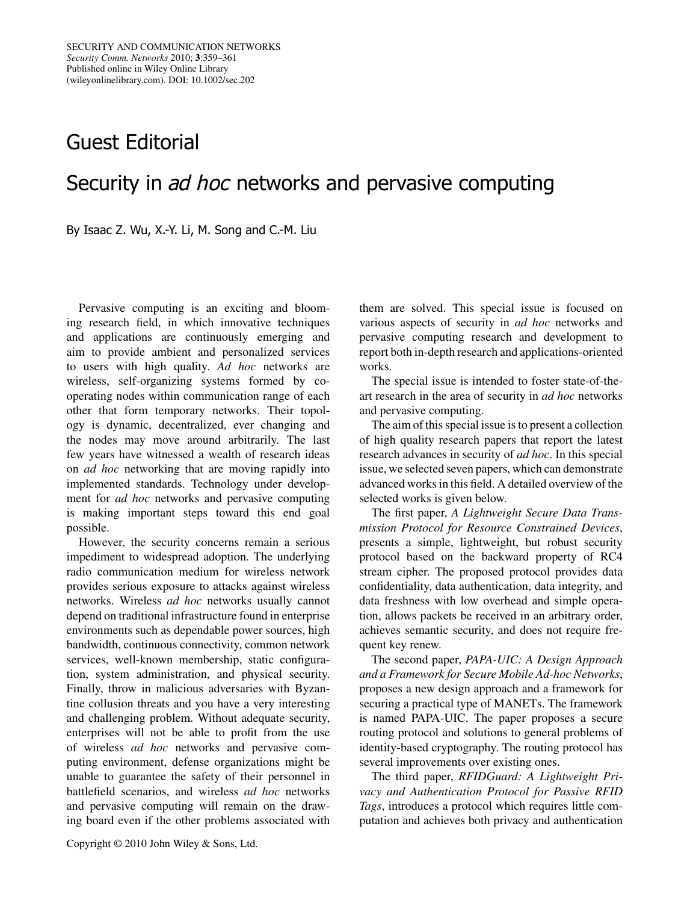### Guest Editorial

## Security in *ad hoc* networks and pervasive computing

By Isaac Z. Wu, X.-Y. Li, M. Song and C.-M. Liu

Pervasive computing is an exciting and blooming research field, in which innovative techniques and applications are continuously emerging and aim to provide ambient and personalized services to users with high quality. *Ad hoc* networks are wireless, self-organizing systems formed by cooperating nodes within communication range of each other that form temporary networks. Their topology is dynamic, decentralized, ever changing and the nodes may move around arbitrarily. The last few years have witnessed a wealth of research ideas on *ad hoc* networking that are moving rapidly into implemented standards. Technology under development for *ad hoc* networks and pervasive computing is making important steps toward this end goal possible.

However, the security concerns remain a serious impediment to widespread adoption. The underlying radio communication medium for wireless network provides serious exposure to attacks against wireless networks. Wireless *ad hoc* networks usually cannot depend on traditional infrastructure found in enterprise environments such as dependable power sources, high bandwidth, continuous connectivity, common network services, well-known membership, static configuration, system administration, and physical security. Finally, throw in malicious adversaries with Byzantine collusion threats and you have a very interesting and challenging problem. Without adequate security, enterprises will not be able to profit from the use of wireless *ad hoc* networks and pervasive computing environment, defense organizations might be unable to guarantee the safety of their personnel in battlefield scenarios, and wireless *ad hoc* networks and pervasive computing will remain on the drawing board even if the other problems associated with them are solved. This special issue is focused on various aspects of security in *ad hoc* networks and pervasive computing research and development to report both in-depth research and applications-oriented works.

The special issue is intended to foster state-of-theart research in the area of security in *ad hoc* networks and pervasive computing.

The aim of this special issue is to present a collection of high quality research papers that report the latest research advances in security of *ad hoc*. In this special issue, we selected seven papers, which can demonstrate advanced works in this field. A detailed overview of the selected works is given below.

The first paper, *A Lightweight Secure Data Transmission Protocol for Resource Constrained Devices*, presents a simple, lightweight, but robust security protocol based on the backward property of RC4 stream cipher. The proposed protocol provides data confidentiality, data authentication, data integrity, and data freshness with low overhead and simple operation, allows packets be received in an arbitrary order, achieves semantic security, and does not require frequent key renew.

The second paper, *PAPA-UIC: A Design Approach and a Framework for Secure Mobile Ad-hoc Networks*, proposes a new design approach and a framework for securing a practical type of MANETs. The framework is named PAPA-UIC. The paper proposes a secure routing protocol and solutions to general problems of identity-based cryptography. The routing protocol has several improvements over existing ones.

The third paper, *RFIDGuard: A Lightweight Privacy and Authentication Protocol for Passive RFID Tags*, introduces a protocol which requires little computation and achieves both privacy and authentication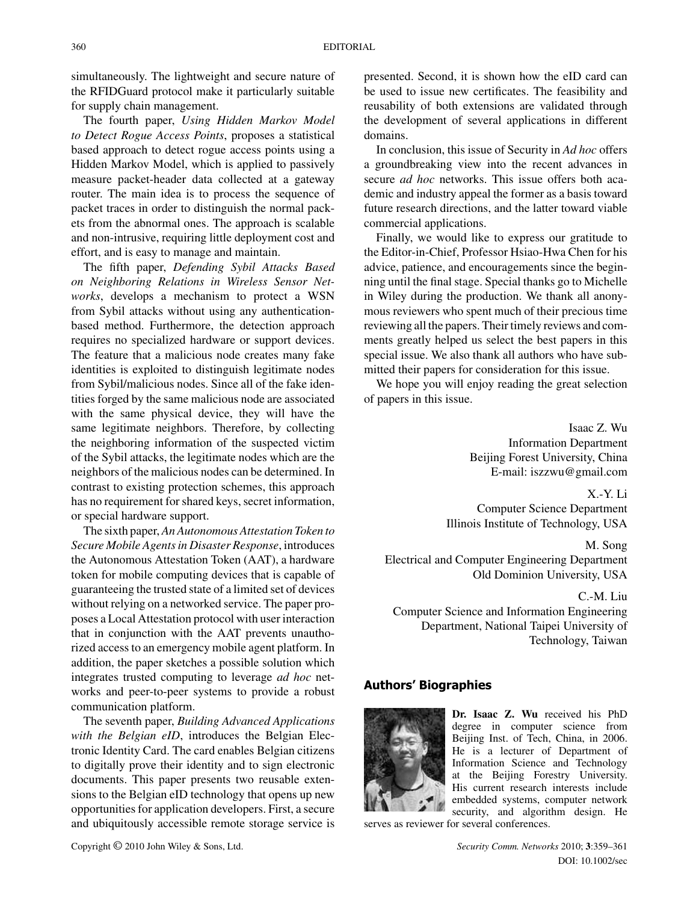simultaneously. The lightweight and secure nature of the RFIDGuard protocol make it particularly suitable for supply chain management.

The fourth paper, *Using Hidden Markov Model to Detect Rogue Access Points*, proposes a statistical based approach to detect rogue access points using a Hidden Markov Model, which is applied to passively measure packet-header data collected at a gateway router. The main idea is to process the sequence of packet traces in order to distinguish the normal packets from the abnormal ones. The approach is scalable and non-intrusive, requiring little deployment cost and effort, and is easy to manage and maintain.

The fifth paper, *Defending Sybil Attacks Based on Neighboring Relations in Wireless Sensor Networks*, develops a mechanism to protect a WSN from Sybil attacks without using any authenticationbased method. Furthermore, the detection approach requires no specialized hardware or support devices. The feature that a malicious node creates many fake identities is exploited to distinguish legitimate nodes from Sybil/malicious nodes. Since all of the fake identities forged by the same malicious node are associated with the same physical device, they will have the same legitimate neighbors. Therefore, by collecting the neighboring information of the suspected victim of the Sybil attacks, the legitimate nodes which are the neighbors of the malicious nodes can be determined. In contrast to existing protection schemes, this approach has no requirement for shared keys, secret information, or special hardware support.

The sixth paper, *An Autonomous Attestation Token to Secure Mobile Agents in Disaster Response*, introduces the Autonomous Attestation Token (AAT), a hardware token for mobile computing devices that is capable of guaranteeing the trusted state of a limited set of devices without relying on a networked service. The paper proposes a Local Attestation protocol with user interaction that in conjunction with the AAT prevents unauthorized access to an emergency mobile agent platform. In addition, the paper sketches a possible solution which integrates trusted computing to leverage *ad hoc* networks and peer-to-peer systems to provide a robust communication platform.

The seventh paper, *Building Advanced Applications with the Belgian eID*, introduces the Belgian Electronic Identity Card. The card enables Belgian citizens to digitally prove their identity and to sign electronic documents. This paper presents two reusable extensions to the Belgian eID technology that opens up new opportunities for application developers. First, a secure and ubiquitously accessible remote storage service is presented. Second, it is shown how the eID card can be used to issue new certificates. The feasibility and reusability of both extensions are validated through the development of several applications in different domains.

In conclusion, this issue of Security in *Ad hoc* offers a groundbreaking view into the recent advances in secure *ad hoc* networks. This issue offers both academic and industry appeal the former as a basis toward future research directions, and the latter toward viable commercial applications.

Finally, we would like to express our gratitude to the Editor-in-Chief, Professor Hsiao-Hwa Chen for his advice, patience, and encouragements since the beginning until the final stage. Special thanks go to Michelle in Wiley during the production. We thank all anonymous reviewers who spent much of their precious time reviewing all the papers. Their timely reviews and comments greatly helped us select the best papers in this special issue. We also thank all authors who have submitted their papers for consideration for this issue.

We hope you will enjoy reading the great selection of papers in this issue.

> Isaac Z. Wu Information Department Beijing Forest University, China E-mail: iszzwu@gmail.com

X.-Y. Li Computer Science Department Illinois Institute of Technology, USA

M. Song Electrical and Computer Engineering Department Old Dominion University, USA

C.-M. Liu Computer Science and Information Engineering Department, National Taipei University of Technology, Taiwan

### **Authors' Biographies**



**Dr. Isaac Z. Wu** received his PhD degree in computer science from Beijing Inst. of Tech, China, in 2006. He is a lecturer of Department of Information Science and Technology at the Beijing Forestry University. His current research interests include embedded systems, computer network security, and algorithm design. He

serves as reviewer for several conferences.